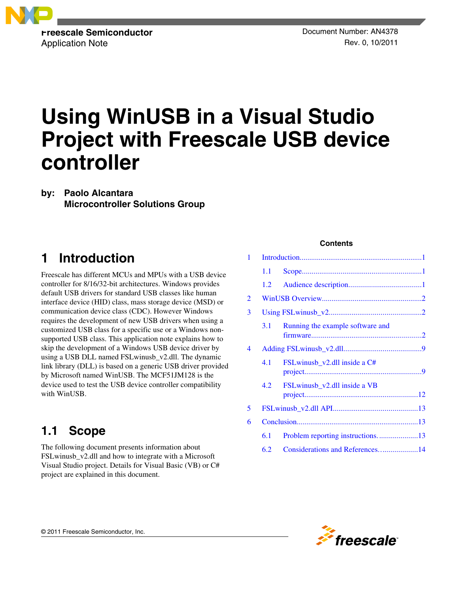

# **Using WinUSB in a Visual Studio Project with Freescale USB device controller**

**by: Paolo Alcantara Microcontroller Solutions Group**

## **1 Introduction**

Freescale has different MCUs and MPUs with a USB device controller for 8/16/32-bit architectures. Windows provides default USB drivers for standard USB classes like human interface device (HID) class, mass storage device (MSD) or communication device class (CDC). However Windows requires the development of new USB drivers when using a customized USB class for a specific use or a Windows nonsupported USB class. This application note explains how to skip the development of a Windows USB device driver by using a USB DLL named FSLwinusb\_v2.dll. The dynamic link library (DLL) is based on a generic USB driver provided by Microsoft named WinUSB. The MCF51JM128 is the device used to test the USB device controller compatibility with WinUSB.

## **1.1 Scope**

The following document presents information about FSLwinusb\_v2.dll and how to integrate with a Microsoft Visual Studio project. Details for Visual Basic (VB) or C# project are explained in this document.

### **Contents**

| 1 |     |                                  |  |
|---|-----|----------------------------------|--|
|   | 1.1 |                                  |  |
|   | 1.2 |                                  |  |
| 2 |     |                                  |  |
| 3 |     |                                  |  |
|   | 3.1 | Running the example software and |  |
| 4 |     |                                  |  |
|   | 4.1 | FSLwinusb_v2.dll inside a C#     |  |
|   | 4.2 | FSLwinusb_v2.dll inside a VB     |  |
| 5 |     |                                  |  |
| 6 |     |                                  |  |
|   | 6.1 |                                  |  |
|   | 6.2 | Considerations and References14  |  |
|   |     |                                  |  |

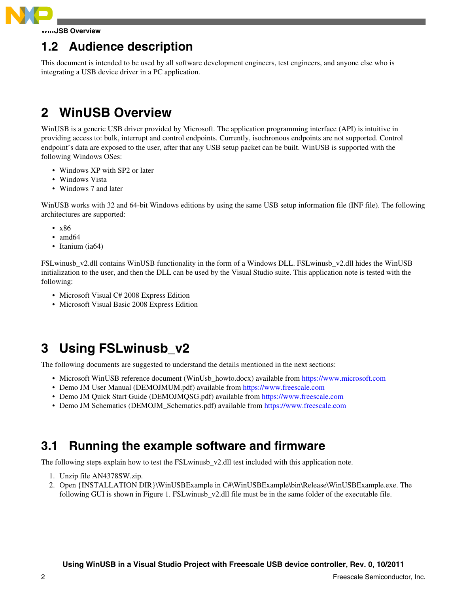<span id="page-1-0"></span>

## **1.2 Audience description**

This document is intended to be used by all software development engineers, test engineers, and anyone else who is integrating a USB device driver in a PC application.

## **2 WinUSB Overview**

WinUSB is a generic USB driver provided by Microsoft. The application programming interface (API) is intuitive in providing access to: bulk, interrupt and control endpoints. Currently, isochronous endpoints are not supported. Control endpoint's data are exposed to the user, after that any USB setup packet can be built. WinUSB is supported with the following Windows OSes:

- Windows XP with SP2 or later
- Windows Vista
- Windows 7 and later

WinUSB works with 32 and 64-bit Windows editions by using the same USB setup information file (INF file). The following architectures are supported:

- x86
- amd<sub>64</sub>
- Itanium (ia64)

FSLwinusb\_v2.dll contains WinUSB functionality in the form of a Windows DLL. FSLwinusb\_v2.dll hides the WinUSB initialization to the user, and then the DLL can be used by the Visual Studio suite. This application note is tested with the following:

- Microsoft Visual C# 2008 Express Edition
- Microsoft Visual Basic 2008 Express Edition

## **3 Using FSLwinusb\_v2**

The following documents are suggested to understand the details mentioned in the next sections:

- Microsoft WinUSB reference document (WinUsb\_howto.docx) available from <https://www.microsoft.com>
- Demo JM User Manual (DEMOJMUM.pdf) available from <https://www.freescale.com>
- Demo JM Quick Start Guide (DEMOJMQSG.pdf) available from<https://www.freescale.com>
- Demo JM Schematics (DEMOJM\_Schematics.pdf) available from <https://www.freescale.com>

## **3.1 Running the example software and firmware**

The following steps explain how to test the FSLwinusb\_v2.dll test included with this application note.

- 1. Unzip file AN4378SW.zip.
- 2. Open {INSTALLATION DIR}\WinUSBExample in C#\WinUSBExample\bin\Release\WinUSBExample.exe. The following GUI is shown in Figure 1. FSLwinusb\_v2.dll file must be in the same folder of the executable file.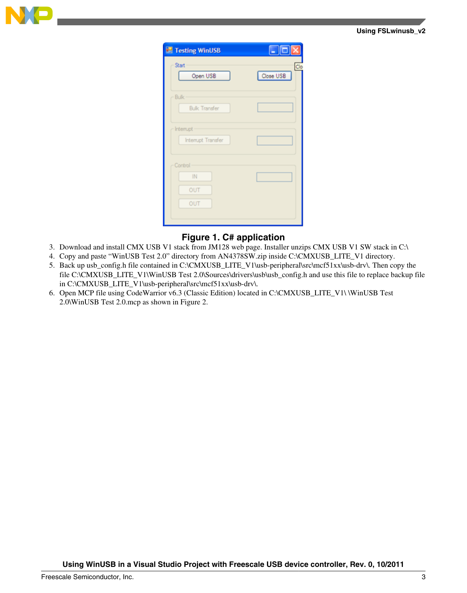

| $\Box$ o $\times$ |
|-------------------|
| Clo<br>Close USB  |
|                   |
|                   |
|                   |
|                   |

### **Figure 1. C# application**

- 3. Download and install CMX USB V1 stack from JM128 web page. Installer unzips CMX USB V1 SW stack in C:\
- 4. Copy and paste "WinUSB Test 2.0" directory from AN4378SW.zip inside C:\CMXUSB\_LITE\_V1 directory.
- 5. Back up usb\_config.h file contained in C:\CMXUSB\_LITE\_V1\usb-peripheral\src\mcf51xx\usb-drv\. Then copy the file C:\CMXUSB\_LITE\_V1\WinUSB Test 2.0\Sources\drivers\usb\usb\_config.h and use this file to replace backup file in C:\CMXUSB\_LITE\_V1\usb-peripheral\src\mcf51xx\usb-drv\.
- 6. Open MCP file using CodeWarrior v6.3 (Classic Edition) located in C:\CMXUSB\_LITE\_V1\ \WinUSB Test 2.0\WinUSB Test 2.0.mcp as shown in Figure 2.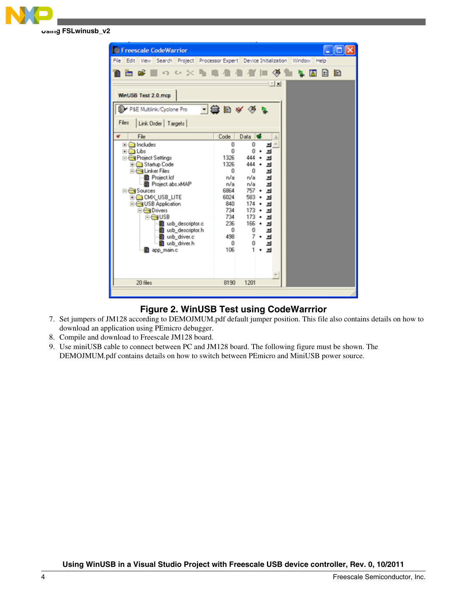



### **Figure 2. WinUSB Test using CodeWarrrior**

- 7. Set jumpers of JM128 according to DEMOJMUM.pdf default jumper position. This file also contains details on how to download an application using PEmicro debugger.
- 8. Compile and download to Freescale JM128 board.
- 9. Use miniUSB cable to connect between PC and JM128 board. The following figure must be shown. The DEMOJMUM.pdf contains details on how to switch between PEmicro and MiniUSB power source.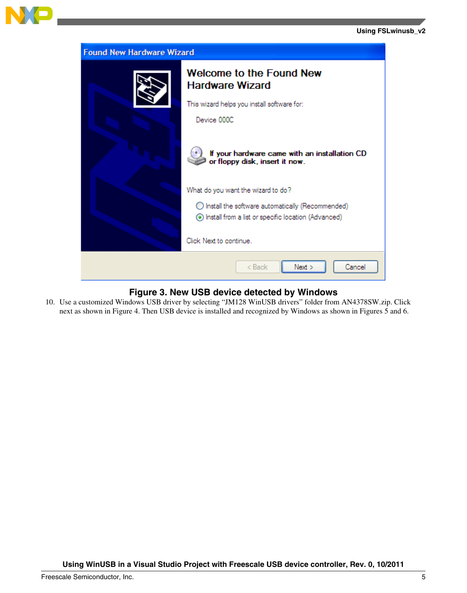

| <b>Found New Hardware Wizard</b> |                                                                                                           |  |  |  |  |
|----------------------------------|-----------------------------------------------------------------------------------------------------------|--|--|--|--|
|                                  | Welcome to the Found New<br><b>Hardware Wizard</b>                                                        |  |  |  |  |
|                                  | This wizard helps you install software for:                                                               |  |  |  |  |
|                                  | Device 000C                                                                                               |  |  |  |  |
|                                  | If your hardware came with an installation CD<br>or floppy disk, insert it now.                           |  |  |  |  |
|                                  | What do you want the wizard to do?                                                                        |  |  |  |  |
|                                  | ◯ Install the software automatically (Recommended)<br>Install from a list or specific location (Advanced) |  |  |  |  |
|                                  | Click Next to continue                                                                                    |  |  |  |  |
|                                  | < Back<br>Next<br>Cancel                                                                                  |  |  |  |  |

### **Figure 3. New USB device detected by Windows**

10. Use a customized Windows USB driver by selecting "JM128 WinUSB drivers" folder from AN4378SW.zip. Click next as shown in Figure 4. Then USB device is installed and recognized by Windows as shown in Figures 5 and 6.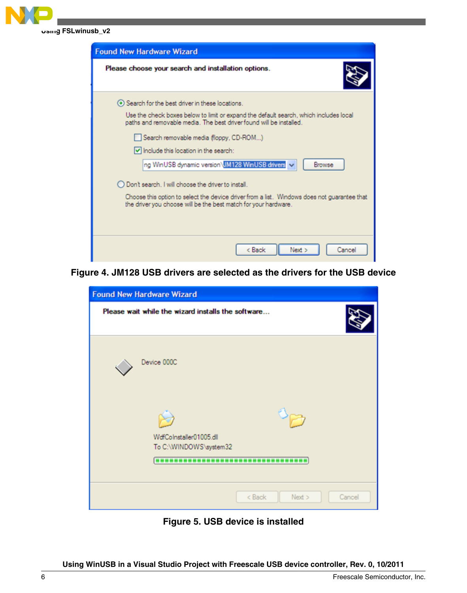

| <b>Found New Hardware Wizard</b>                                                                                                                               |
|----------------------------------------------------------------------------------------------------------------------------------------------------------------|
| Please choose your search and installation options.                                                                                                            |
| → Search for the best driver in these locations.                                                                                                               |
| Use the check boxes below to limit or expand the default search, which includes local<br>paths and removable media. The best driver found will be installed.   |
| Search removable media (floppy, CD-ROM)                                                                                                                        |
| IV Include this location in the search:                                                                                                                        |
| ng WinUSB dynamic version JM128 WinUSB drivers v<br>Browse                                                                                                     |
| ◯ Don't search. I will choose the driver to install.                                                                                                           |
| Choose this option to select the device driver from a list. Windows does not guarantee that<br>the driver you choose will be the best match for your hardware. |
|                                                                                                                                                                |
|                                                                                                                                                                |
| < Back<br>Next ><br>Cancel                                                                                                                                     |

**Figure 4. JM128 USB drivers are selected as the drivers for the USB device**

| <b>Found New Hardware Wizard</b>                                                         |                             |
|------------------------------------------------------------------------------------------|-----------------------------|
| Please wait while the wizard installs the software                                       |                             |
| Device 000C                                                                              |                             |
| WdfCoInstaller01005.dll<br>To C:\WINDOWS\system32<br>,,,,,,,,,,,,,,,,,,,,,,,,,,,,,,,,,,, |                             |
|                                                                                          | $<$ Back<br>Cancel<br>New > |

**Figure 5. USB device is installed**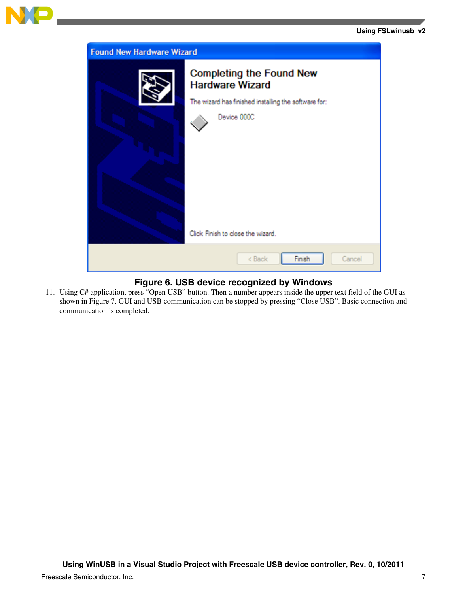

| <b>Found New Hardware Wizard</b> |                                                                                                                                                                       |  |  |  |
|----------------------------------|-----------------------------------------------------------------------------------------------------------------------------------------------------------------------|--|--|--|
|                                  | <b>Completing the Found New</b><br><b>Hardware Wizard</b><br>The wizard has finished installing the software for:<br>Device 000C<br>Click Finish to close the wizard. |  |  |  |
|                                  | Finish<br>< Back<br>Cancel                                                                                                                                            |  |  |  |

### **Figure 6. USB device recognized by Windows**

11. Using C# application, press "Open USB" button. Then a number appears inside the upper text field of the GUI as shown in Figure 7. GUI and USB communication can be stopped by pressing "Close USB". Basic connection and communication is completed.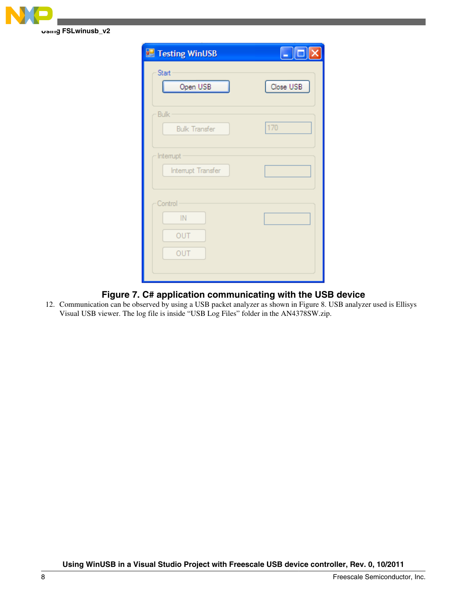

| $\Box$ $\Box$ |
|---------------|
| Close USB     |
| 170           |
|               |
|               |
|               |

### **Figure 7. C# application communicating with the USB device**

12. Communication can be observed by using a USB packet analyzer as shown in Figure 8. USB analyzer used is Ellisys Visual USB viewer. The log file is inside "USB Log Files" folder in the AN4378SW.zip.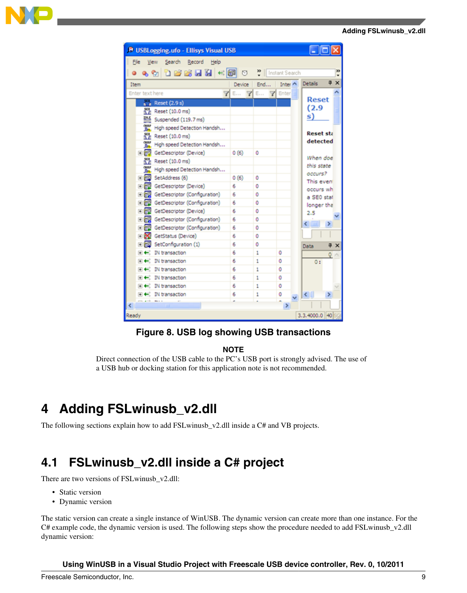#### **Adding FSLwinusb\_v2.dll**

<span id="page-8-0"></span>

| <b>P</b> USBLogging.ufo - Ellisys Visual USB<br>- 101                   |      |              |               |                              |                       |  |
|-------------------------------------------------------------------------|------|--------------|---------------|------------------------------|-----------------------|--|
| File<br>Search Record<br>View<br>Help                                   |      |              |               |                              |                       |  |
| 33<br>$\bullet$ which is a fall $\bullet$ which is<br>Instant Search    |      |              |               |                              |                       |  |
| 阜                                                                       |      |              |               |                              |                       |  |
| $\times$<br><b>Details</b><br>Inter A<br>End<br>Item<br>Device <b>I</b> |      |              |               |                              |                       |  |
| Enter text here<br>7                                                    |      | $E$ $7E$ $7$ | Enter         | <b>Reset</b>                 |                       |  |
| $\overline{\bullet}$ Reset (2.9 s)                                      |      |              |               | (2.9)                        |                       |  |
| a e<br>Reset (10.0 ms)                                                  |      |              |               | s)                           |                       |  |
| 쁘<br>Suspended (119.7 ms)                                               |      |              |               |                              |                       |  |
| <b>OH</b> , High speed Detection Handsh                                 |      |              |               | <b>Reset sta</b>             |                       |  |
| $nEsec$ Reset (10.0 ms)                                                 |      |              |               | detected                     |                       |  |
| nut High speed Detection Handsh                                         |      |              |               |                              |                       |  |
| 田 n GetDescriptor (Device)                                              | 0(6) | Ō            |               | When doe                     |                       |  |
| $^{50}_{16}$ Reset (10.0 ms)                                            |      |              |               | this state                   |                       |  |
| <b>OH</b> , High speed Detection Handsh                                 |      |              |               | occurs?                      |                       |  |
| 王辰<br>SetAddress (6)                                                    | 0(6) | ō            |               | This even                    |                       |  |
| 田 n GetDescriptor (Device)                                              | 6    | ٥            |               | occurs wh                    |                       |  |
| 田 ng GetDescriptor (Configuration)                                      | 6    | n            |               | a SEO stat                   |                       |  |
| 田 n GetDescriptor (Configuration)                                       | 6    | ٥            |               | longer tha                   |                       |  |
| 田 ni GetDescriptor (Device)                                             | 6    | ٥            |               | 2.5                          |                       |  |
| 田 my GetDescriptor (Configuration)                                      | 6    | Ō            |               | Ł.                           | ×.                    |  |
| 田 同盟 GetDescriptor (Configuration)                                      | 6    | ٥            |               |                              |                       |  |
| <b>El DC</b> GetStatus (Device)                                         | 6    | o            |               |                              |                       |  |
| SetConfiguration (1)<br>王信武                                             | б    | ٥            |               | Data                         | $x \times$            |  |
| IN transaction<br>$+ +$                                                 | 6    | 1            | ٥             |                              | $Q \wedge$            |  |
| IN transaction<br>田田                                                    | 6    | 1            | ō             | 0:                           |                       |  |
| IN transaction<br>$+ +$                                                 | 6    | 1            | ٥             |                              |                       |  |
| IN transaction<br>$+ +$                                                 | 6    | 1            | ٥             |                              |                       |  |
| $\mathbb{H} \leftarrow \mathbb{N}$ IN transaction                       | 6    | 1            | ō             |                              |                       |  |
| <b>E</b> ← IN transaction                                               | 6    | 1            | ٥             | $\left\langle \right\rangle$ | $\blacktriangleright$ |  |
|                                                                         |      |              | $\rightarrow$ |                              |                       |  |
| 3.3.4000.0 40<br>Ready                                                  |      |              |               |                              |                       |  |
|                                                                         |      |              |               |                              |                       |  |

### **Figure 8. USB log showing USB transactions**

#### **NOTE**

Direct connection of the USB cable to the PC's USB port is strongly advised. The use of a USB hub or docking station for this application note is not recommended.

## **4 Adding FSLwinusb\_v2.dll**

The following sections explain how to add FSLwinusb\_v2.dll inside a C# and VB projects.

## **4.1 FSLwinusb\_v2.dll inside a C# project**

There are two versions of FSLwinusb\_v2.dll:

- Static version
- Dynamic version

The static version can create a single instance of WinUSB. The dynamic version can create more than one instance. For the C# example code, the dynamic version is used. The following steps show the procedure needed to add FSLwinusb\_v2.dll dynamic version: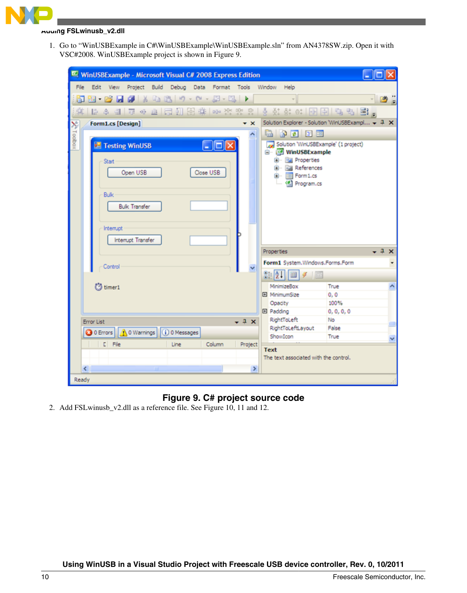

#### **Adding FSLwinusb\_v2.dll**

1. Go to "WinUSBExample in C#\WinUSBExample\WinUSBExample.sln" from AN4378SW.zip. Open it with VSC#2008. WinUSBExample project is shown in Figure 9.

| File Edit View Project Build Debug Data Format Tools Window Help<br>5 E - 6 F J X & 6 F - 8 - 5 - 5 F<br>۰I<br>후  日 수 리  ㅠ 아 쁘  53 M 28 #   00 \ \ \ \ \ #     } \ # #   # # #       H   H         + + +     B           + +<br>Solution Explorer - Solution WinUSBExampl - 7 X<br>$\star \times$<br>X Toolbox<br><b>Form1.cs [Design]</b><br>ade ee<br>Solution 'WinUSBExample' (1 project)<br>$\Box$ d $\mathsf{x}$<br>Testing WinUSB<br><b>B</b> - <b>MinUSBExample</b><br>B- Ball Properties<br>Start<br><b>B-Raj References</b><br>Close USB<br>Open USB | Ø     |
|---------------------------------------------------------------------------------------------------------------------------------------------------------------------------------------------------------------------------------------------------------------------------------------------------------------------------------------------------------------------------------------------------------------------------------------------------------------------------------------------------------------------------------------------------------------|-------|
|                                                                                                                                                                                                                                                                                                                                                                                                                                                                                                                                                               |       |
|                                                                                                                                                                                                                                                                                                                                                                                                                                                                                                                                                               |       |
|                                                                                                                                                                                                                                                                                                                                                                                                                                                                                                                                                               |       |
|                                                                                                                                                                                                                                                                                                                                                                                                                                                                                                                                                               |       |
|                                                                                                                                                                                                                                                                                                                                                                                                                                                                                                                                                               |       |
|                                                                                                                                                                                                                                                                                                                                                                                                                                                                                                                                                               |       |
|                                                                                                                                                                                                                                                                                                                                                                                                                                                                                                                                                               |       |
|                                                                                                                                                                                                                                                                                                                                                                                                                                                                                                                                                               |       |
|                                                                                                                                                                                                                                                                                                                                                                                                                                                                                                                                                               |       |
| El- Ell Form1.cs<br><sup>(2)</sup> Program.cs                                                                                                                                                                                                                                                                                                                                                                                                                                                                                                                 |       |
|                                                                                                                                                                                                                                                                                                                                                                                                                                                                                                                                                               |       |
| <b>Bulk</b>                                                                                                                                                                                                                                                                                                                                                                                                                                                                                                                                                   |       |
| <b>Bulk Transfer</b>                                                                                                                                                                                                                                                                                                                                                                                                                                                                                                                                          |       |
|                                                                                                                                                                                                                                                                                                                                                                                                                                                                                                                                                               |       |
| Interrupt                                                                                                                                                                                                                                                                                                                                                                                                                                                                                                                                                     |       |
| Intemupt Transfer                                                                                                                                                                                                                                                                                                                                                                                                                                                                                                                                             |       |
| Properties                                                                                                                                                                                                                                                                                                                                                                                                                                                                                                                                                    | $-4x$ |
| Form1 System.Windows.Forms.Form<br>Control                                                                                                                                                                                                                                                                                                                                                                                                                                                                                                                    |       |
| $\frac{81}{21}$ $\boxed{1}$<br>$\mathcal{F}$                                                                                                                                                                                                                                                                                                                                                                                                                                                                                                                  |       |
| 约 timer1<br>True<br>MinimizeBox                                                                                                                                                                                                                                                                                                                                                                                                                                                                                                                               |       |
| El MinimumSize<br>0, 0                                                                                                                                                                                                                                                                                                                                                                                                                                                                                                                                        |       |
| 100%<br>Opacity                                                                                                                                                                                                                                                                                                                                                                                                                                                                                                                                               |       |
| <b>田 Padding</b><br>0, 0, 0, 0<br>RightToLeft<br><b>No</b>                                                                                                                                                                                                                                                                                                                                                                                                                                                                                                    |       |
| $-1x$<br>Error List<br>RightToLeftLayout<br>False                                                                                                                                                                                                                                                                                                                                                                                                                                                                                                             |       |
| O Errors   A 0 Warnings   0 0 Messages<br>ShowIcon<br>True                                                                                                                                                                                                                                                                                                                                                                                                                                                                                                    |       |
| C File<br>Column<br>Line<br>Project<br><b>Text</b>                                                                                                                                                                                                                                                                                                                                                                                                                                                                                                            |       |
| The text associated with the control.                                                                                                                                                                                                                                                                                                                                                                                                                                                                                                                         |       |
| $\left\langle \right\rangle$<br>$\rightarrow$                                                                                                                                                                                                                                                                                                                                                                                                                                                                                                                 |       |
| Ready                                                                                                                                                                                                                                                                                                                                                                                                                                                                                                                                                         |       |

### **Figure 9. C# project source code**

2. Add FSLwinusb\_v2.dll as a reference file. See Figure 10, 11 and 12.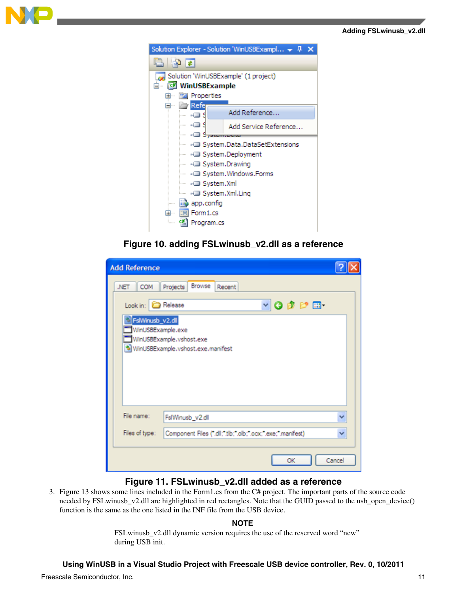



### **Figure 10. adding FSLwinusb\_v2.dll as a reference**

| <b>Add Reference</b>                                                             |                                                                                                                                    |        |
|----------------------------------------------------------------------------------|------------------------------------------------------------------------------------------------------------------------------------|--------|
| COM<br>.NET<br>Look in: <b>C</b> Release<br>FsWinusb_v2.dll<br>WinUSBExample.exe | Browse Recent<br>Projects<br>$\vee$ 0 $\beta$ $\heartsuit$ $\Box$<br>WinUSBExample.vshost.exe<br>WinUSBExample.vshost.exe.manifest |        |
| File name:<br>Files of type:                                                     | FslWinusb_v2.dll<br>Component Files (".dll;".tlb;".olb;".ocx;".exe;".manifest)                                                     |        |
|                                                                                  | ОК                                                                                                                                 | Cancel |

### **Figure 11. FSLwinusb\_v2.dll added as a reference**

3. Figure 13 shows some lines included in the Form1.cs from the C# project. The important parts of the source code needed by FSLwinusb\_v2.dll are highlighted in red rectangles. Note that the GUID passed to the usb\_open\_device() function is the same as the one listed in the INF file from the USB device.

#### **NOTE**

FSLwinusb\_v2.dll dynamic version requires the use of the reserved word "new" during USB init.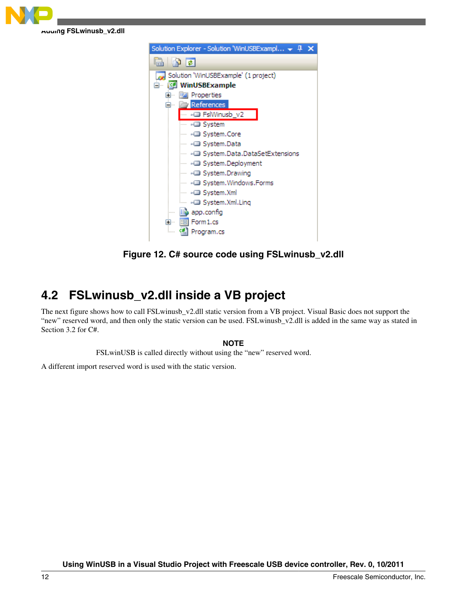<span id="page-11-0"></span>



**Figure 12. C# source code using FSLwinusb\_v2.dll**

## **4.2 FSLwinusb\_v2.dll inside a VB project**

The next figure shows how to call FSLwinusb\_v2.dll static version from a VB project. Visual Basic does not support the "new" reserved word, and then only the static version can be used. FSLwinusb\_v2.dll is added in the same way as stated in Section 3.2 for C#.

### **NOTE**

FSLwinUSB is called directly without using the "new" reserved word.

A different import reserved word is used with the static version.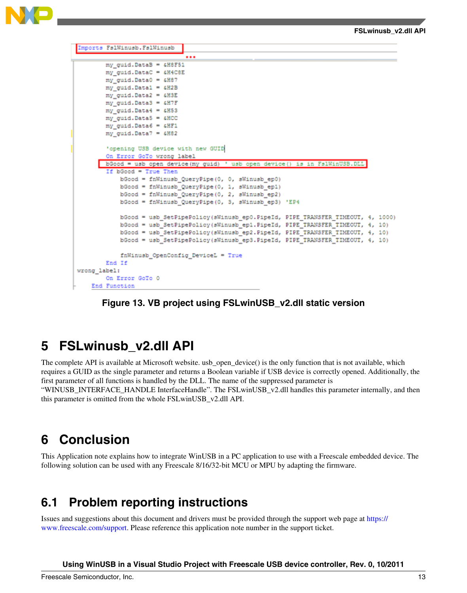#### **FSLwinusb\_v2.dll API**

<span id="page-12-0"></span>

| Imports FalWinusb. FalWinusb                                                  |  |
|-------------------------------------------------------------------------------|--|
|                                                                               |  |
|                                                                               |  |
| my_guid.DataB = 4H8F51                                                        |  |
| my guid. DataC = &H4C8E                                                       |  |
| my guid. Data0 = £H87                                                         |  |
| my guid. Data1 = 6H2B                                                         |  |
| my guid. Data2 = &H3E                                                         |  |
| my guid. Data3 = &H7F                                                         |  |
| my guid. Data4 = &H53                                                         |  |
| my guid. Data5 = &HCC                                                         |  |
| my guid. Data6 = &HF1                                                         |  |
| my guid. Data7 = 6H82                                                         |  |
|                                                                               |  |
| 'opening USB device with new GUID                                             |  |
| On Error GoTo wrong label                                                     |  |
| bGood = usb open device (my guid) ' usb open device () is in Fs1WinUSB.DLL    |  |
| If bGood = True Then                                                          |  |
| bGood = fnWinusb_QueryPipe(0, 0, sWinusb_ep0)                                 |  |
| bGood = fnWinusb_QueryPipe(0, 1, sWinusb_ep1)                                 |  |
| bGood = fnWinusb QueryPipe (0, 2, sWinusb ep2)                                |  |
| bGood = fnWinusb QueryPipe (0, 3, sWinusb ep3) 'EP4                           |  |
|                                                                               |  |
| bGood = usb SetPipePolicy(sWinusb ep0.PipeId, PIPE TRANSFER TIMEOUT, 4, 1000) |  |
| bGood = usb SetPipePolicy(sWinusb ep1.PipeId, PIPE TRANSFER TIMEOUT, 4, 10)   |  |
| bGood = usb SetPipePolicy(sWinusb ep2.PipeId, PIPE TRANSFER TIMEOUT, 4, 10)   |  |
| bGood = usb SetPipePolicy(sWinusb ep3.PipeId, PIPE TRANSFER TIMEOUT, 4, 10)   |  |
| fnWinusb OpenConfig DeviceL = True                                            |  |
| End If                                                                        |  |
| wrong label:                                                                  |  |
| On Error GoTo 0                                                               |  |
| End Function                                                                  |  |

### **Figure 13. VB project using FSLwinUSB\_v2.dll static version**

## **5 FSLwinusb\_v2.dll API**

The complete API is available at Microsoft website. usb\_open\_device() is the only function that is not available, which requires a GUID as the single parameter and returns a Boolean variable if USB device is correctly opened. Additionally, the first parameter of all functions is handled by the DLL. The name of the suppressed parameter is

"WINUSB\_INTERFACE\_HANDLE InterfaceHandle". The FSLwinUSB\_v2.dll handles this parameter internally, and then this parameter is omitted from the whole FSLwinUSB\_v2.dll API.

## **6 Conclusion**

This Application note explains how to integrate WinUSB in a PC application to use with a Freescale embedded device. The following solution can be used with any Freescale 8/16/32-bit MCU or MPU by adapting the firmware.

## **6.1 Problem reporting instructions**

Issues and suggestions about this document and drivers must be provided through the support web page at [https://](https://www.freescale.com/support) [www.freescale.com/support](https://www.freescale.com/support). Please reference this application note number in the support ticket.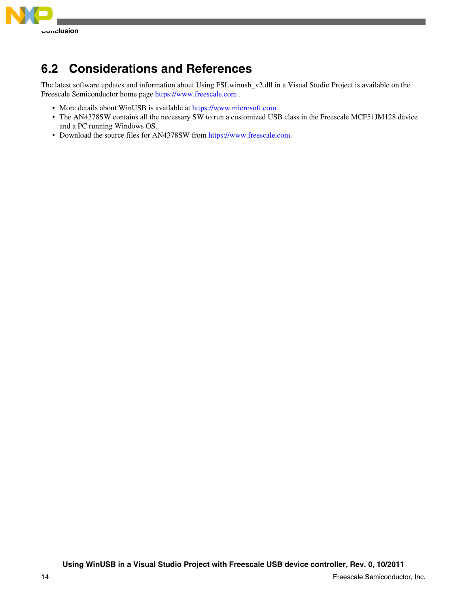<span id="page-13-0"></span>

## **6.2 Considerations and References**

The latest software updates and information about Using FSLwinusb\_v2.dll in a Visual Studio Project is available on the Freescale Semiconductor home page<https://www.freescale.com>.

- More details about WinUSB is available at<https://www.microsoft.com>.
- The AN4378SW contains all the necessary SW to run a customized USB class in the Freescale MCF51JM128 device and a PC running Windows OS.
- Download the source files for AN4378SW from<https://www.freescale.com>.